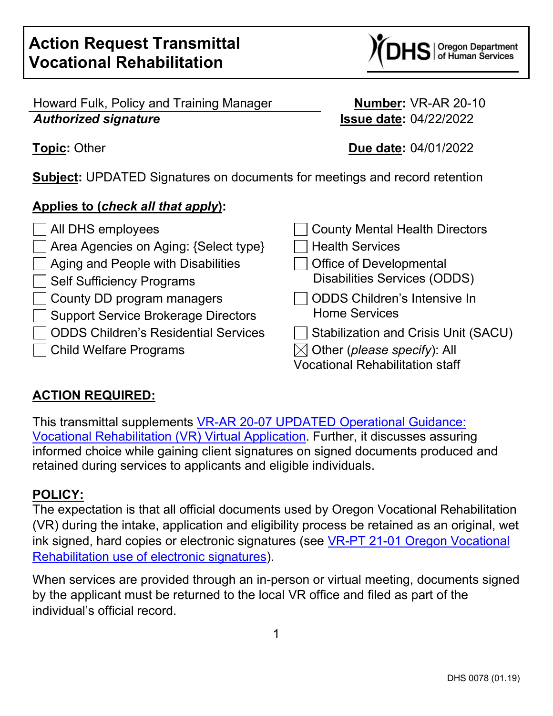$\bf S$  | Oregon Department

Howard Fulk, Policy and Training Manager **Number:** VR-AR 20-10 *Authorized signature* **Issue date:** 04/22/2022

**Topic:** Other **Due date:** 04/01/2022

**Subject:** UPDATED Signatures on documents for meetings and record retention

### **Applies to (***check all that apply***):**

| $\Box$ All DHS employees                  | County Mental Health Directors                    |
|-------------------------------------------|---------------------------------------------------|
| Area Agencies on Aging: {Select type}     | $\Box$ Health Services                            |
| $\Box$ Aging and People with Disabilities | Office of Developmental                           |
| Self Sufficiency Programs                 | <b>Disabilities Services (ODDS)</b>               |
| County DD program managers                | ODDS Children's Intensive In                      |
| Support Service Brokerage Directors       | <b>Home Services</b>                              |
| □ ODDS Children's Residential Services    | Stabilization and Crisis Unit (SA                 |
| Child Welfare Programs                    | $\boxtimes$ Other (please specify): All           |
|                                           | $\mathcal{L}$ , and the contract of $\mathcal{L}$ |

| All DHS employees                           | County Mental Health Directors          |
|---------------------------------------------|-----------------------------------------|
| Area Agencies on Aging: {Select type}       | <b>Health Services</b>                  |
| <b>Aging and People with Disabilities</b>   | Office of Developmental                 |
| <b>Self Sufficiency Programs</b>            | <b>Disabilities Services (ODDS)</b>     |
| County DD program managers                  | ODDS Children's Intensive In            |
| <b>Support Service Brokerage Directors</b>  | <b>Home Services</b>                    |
| <b>ODDS Children's Residential Services</b> | Stabilization and Crisis Unit (SACU)    |
| <b>Child Welfare Programs</b>               | $\boxtimes$ Other (please specify): All |
|                                             | <b>Vocational Rehabilitation staff</b>  |

# **ACTION REQUIRED:**

This transmittal supplements [VR-AR 20-07 UPDATED](https://www.oregon.gov/dhs/EMPLOYMENT/VR/Documents/VR-AR%2020-07%20Virtual%20Application%20Guidance%20Update.pdf) Operational Guidance: [Vocational Rehabilitation \(VR\) Virtual Application.](https://www.oregon.gov/dhs/EMPLOYMENT/VR/Documents/VR-AR%2020-07%20Virtual%20Application%20Guidance%20Update.pdf) Further, it discusses assuring informed choice while gaining client signatures on signed documents produced and retained during services to applicants and eligible individuals.

## **POLICY:**

The expectation is that all official documents used by Oregon Vocational Rehabilitation (VR) during the intake, application and eligibility process be retained as an original, wet ink signed, hard copies or electronic signatures (see [VR-PT 21-01 Oregon Vocational](https://www.oregon.gov/dhs/EMPLOYMENT/VR/Documents/VR-AR%2021-01%20ESignature.pdf)  [Rehabilitation use of electronic signatures\)](https://www.oregon.gov/dhs/EMPLOYMENT/VR/Documents/VR-AR%2021-01%20ESignature.pdf).

When services are provided through an in-person or virtual meeting, documents signed by the applicant must be returned to the local VR office and filed as part of the individual's official record.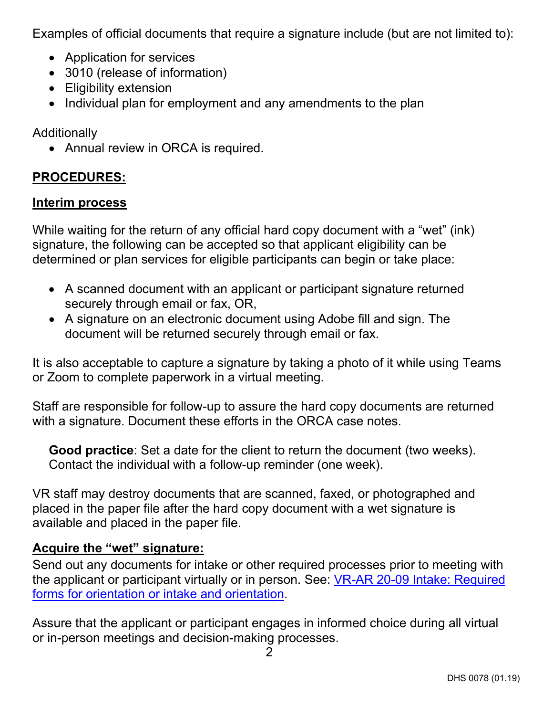Examples of official documents that require a signature include (but are not limited to):

- Application for services
- 3010 (release of information)
- Eligibility extension
- Individual plan for employment and any amendments to the plan

Additionally

• Annual review in ORCA is required.

# **PROCEDURES:**

#### **Interim process**

While waiting for the return of any official hard copy document with a "wet" (ink) signature, the following can be accepted so that applicant eligibility can be determined or plan services for eligible participants can begin or take place:

- A scanned document with an applicant or participant signature returned securely through email or fax, OR,
- A signature on an electronic document using Adobe fill and sign. The document will be returned securely through email or fax.

It is also acceptable to capture a signature by taking a photo of it while using Teams or Zoom to complete paperwork in a virtual meeting.

Staff are responsible for follow-up to assure the hard copy documents are returned with a signature. Document these efforts in the ORCA case notes.

**Good practice**: Set a date for the client to return the document (two weeks). Contact the individual with a follow-up reminder (one week).

VR staff may destroy documents that are scanned, faxed, or photographed and placed in the paper file after the hard copy document with a wet signature is available and placed in the paper file.

### **Acquire the "wet" signature:**

Send out any documents for intake or other required processes prior to meeting with the applicant or participant virtually or in person. See: [VR-AR 20-09 Intake: Required](https://www.oregon.gov/dhs/EMPLOYMENT/VR/Documents/VR-AR%2020-09.pdf)  [forms for orientation or intake and orientation.](https://www.oregon.gov/dhs/EMPLOYMENT/VR/Documents/VR-AR%2020-09.pdf)

Assure that the applicant or participant engages in informed choice during all virtual or in-person meetings and decision-making processes.